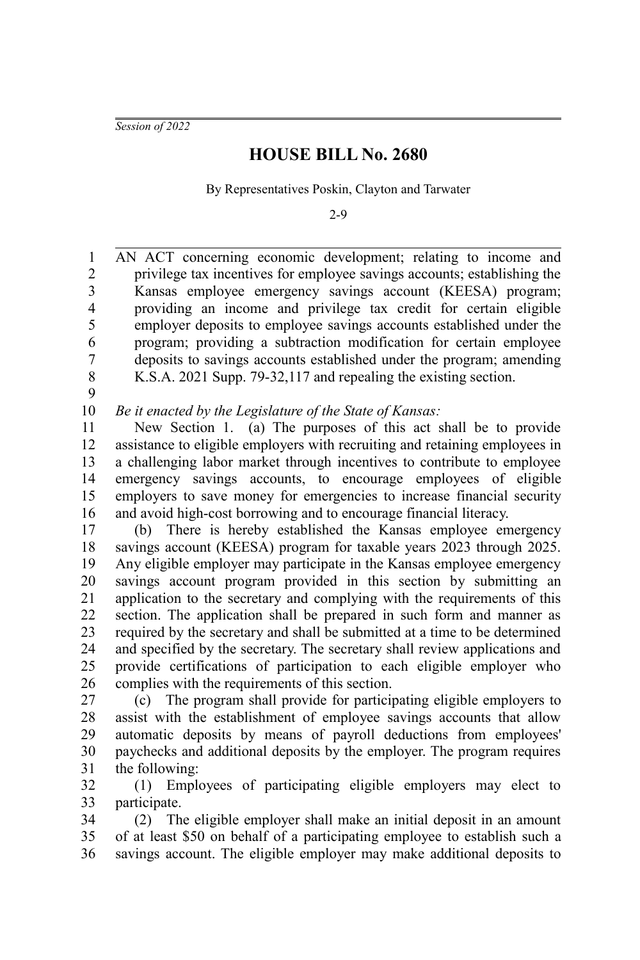*Session of 2022*

## **HOUSE BILL No. 2680**

By Representatives Poskin, Clayton and Tarwater

2-9

AN ACT concerning economic development; relating to income and privilege tax incentives for employee savings accounts; establishing the Kansas employee emergency savings account (KEESA) program; providing an income and privilege tax credit for certain eligible employer deposits to employee savings accounts established under the program; providing a subtraction modification for certain employee deposits to savings accounts established under the program; amending K.S.A. 2021 Supp. 79-32,117 and repealing the existing section. 1 2 3 4 5 6 7 8

9

*Be it enacted by the Legislature of the State of Kansas:* 10

New Section 1. (a) The purposes of this act shall be to provide assistance to eligible employers with recruiting and retaining employees in a challenging labor market through incentives to contribute to employee emergency savings accounts, to encourage employees of eligible employers to save money for emergencies to increase financial security and avoid high-cost borrowing and to encourage financial literacy. 11 12 13 14 15 16

(b) There is hereby established the Kansas employee emergency savings account (KEESA) program for taxable years 2023 through 2025. Any eligible employer may participate in the Kansas employee emergency savings account program provided in this section by submitting an application to the secretary and complying with the requirements of this section. The application shall be prepared in such form and manner as required by the secretary and shall be submitted at a time to be determined and specified by the secretary. The secretary shall review applications and provide certifications of participation to each eligible employer who complies with the requirements of this section. 17 18 19 20 21 22 23 24 25 26

(c) The program shall provide for participating eligible employers to assist with the establishment of employee savings accounts that allow automatic deposits by means of payroll deductions from employees' paychecks and additional deposits by the employer. The program requires the following: 27 28 29 30 31

(1) Employees of participating eligible employers may elect to participate. 32 33

(2) The eligible employer shall make an initial deposit in an amount of at least \$50 on behalf of a participating employee to establish such a savings account. The eligible employer may make additional deposits to 34 35 36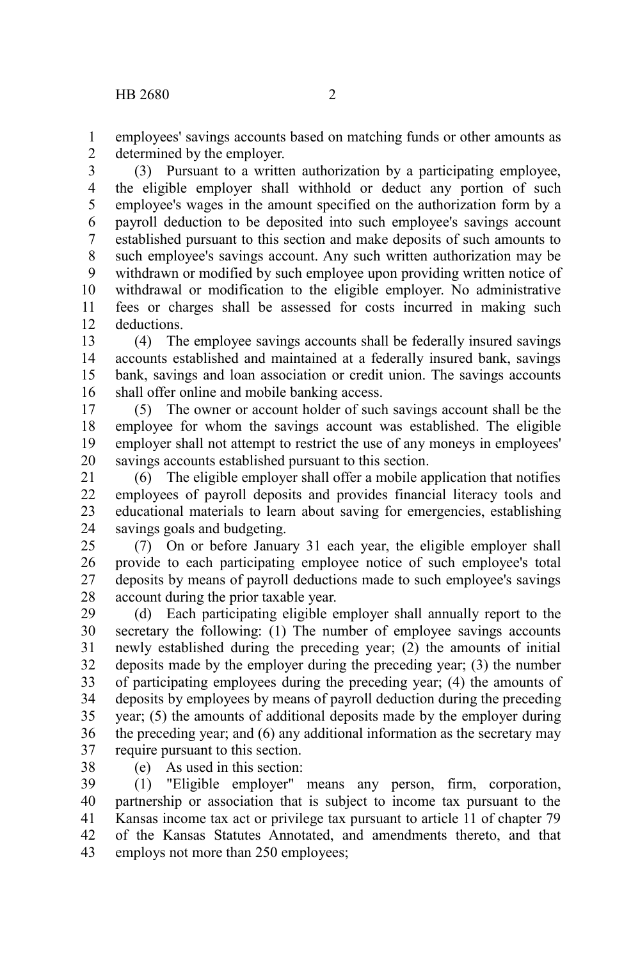employees' savings accounts based on matching funds or other amounts as determined by the employer. 1 2

(3) Pursuant to a written authorization by a participating employee, the eligible employer shall withhold or deduct any portion of such employee's wages in the amount specified on the authorization form by a payroll deduction to be deposited into such employee's savings account established pursuant to this section and make deposits of such amounts to such employee's savings account. Any such written authorization may be withdrawn or modified by such employee upon providing written notice of withdrawal or modification to the eligible employer. No administrative fees or charges shall be assessed for costs incurred in making such deductions. 3 4 5 6 7 8 9 10 11 12

(4) The employee savings accounts shall be federally insured savings accounts established and maintained at a federally insured bank, savings bank, savings and loan association or credit union. The savings accounts shall offer online and mobile banking access. 13 14 15 16

(5) The owner or account holder of such savings account shall be the employee for whom the savings account was established. The eligible employer shall not attempt to restrict the use of any moneys in employees' savings accounts established pursuant to this section. 17 18 19 20

(6) The eligible employer shall offer a mobile application that notifies employees of payroll deposits and provides financial literacy tools and educational materials to learn about saving for emergencies, establishing savings goals and budgeting. 21 22 23 24

(7) On or before January 31 each year, the eligible employer shall provide to each participating employee notice of such employee's total deposits by means of payroll deductions made to such employee's savings account during the prior taxable year. 25 26 27 28

(d) Each participating eligible employer shall annually report to the secretary the following: (1) The number of employee savings accounts newly established during the preceding year; (2) the amounts of initial deposits made by the employer during the preceding year; (3) the number of participating employees during the preceding year; (4) the amounts of deposits by employees by means of payroll deduction during the preceding year; (5) the amounts of additional deposits made by the employer during the preceding year; and (6) any additional information as the secretary may require pursuant to this section. 29 30 31 32 33 34 35 36 37

(e) As used in this section: 38

(1) "Eligible employer" means any person, firm, corporation, partnership or association that is subject to income tax pursuant to the Kansas income tax act or privilege tax pursuant to article 11 of chapter 79 of the Kansas Statutes Annotated, and amendments thereto, and that employs not more than 250 employees; 39 40 41 42 43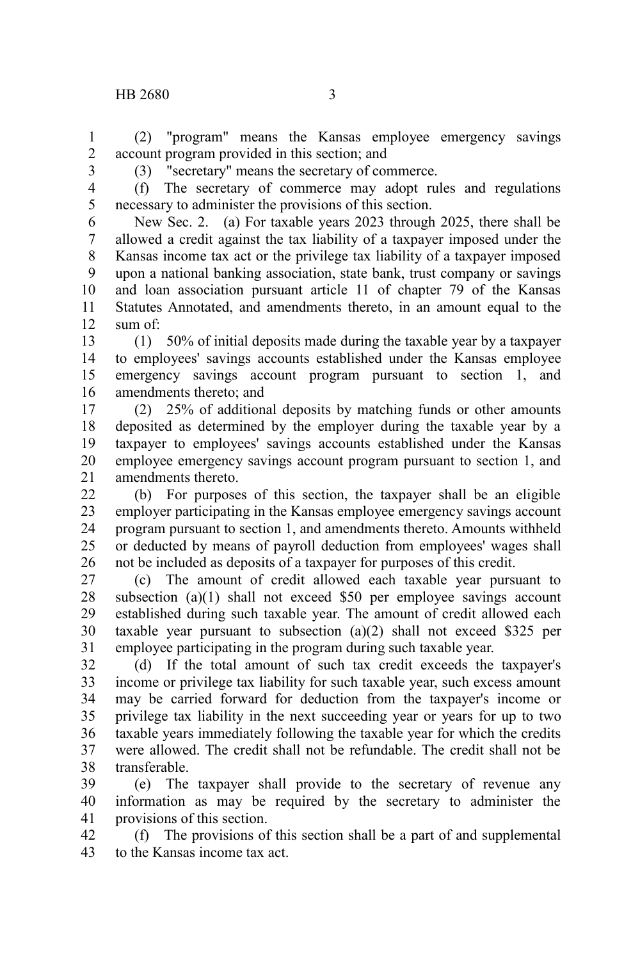(2) "program" means the Kansas employee emergency savings account program provided in this section; and 1 2

3

(3) "secretary" means the secretary of commerce.

4 5

(f) The secretary of commerce may adopt rules and regulations necessary to administer the provisions of this section.

New Sec. 2. (a) For taxable years 2023 through 2025, there shall be allowed a credit against the tax liability of a taxpayer imposed under the Kansas income tax act or the privilege tax liability of a taxpayer imposed upon a national banking association, state bank, trust company or savings and loan association pursuant article 11 of chapter 79 of the Kansas Statutes Annotated, and amendments thereto, in an amount equal to the sum of: 6 7 8 9 10 11 12

(1) 50% of initial deposits made during the taxable year by a taxpayer to employees' savings accounts established under the Kansas employee emergency savings account program pursuant to section 1, and amendments thereto; and 13 14 15 16

(2) 25% of additional deposits by matching funds or other amounts deposited as determined by the employer during the taxable year by a taxpayer to employees' savings accounts established under the Kansas employee emergency savings account program pursuant to section 1, and amendments thereto. 17 18 19 20 21

(b) For purposes of this section, the taxpayer shall be an eligible employer participating in the Kansas employee emergency savings account program pursuant to section 1, and amendments thereto. Amounts withheld or deducted by means of payroll deduction from employees' wages shall not be included as deposits of a taxpayer for purposes of this credit.  $22$ 23 24 25 26

(c) The amount of credit allowed each taxable year pursuant to subsection (a)(1) shall not exceed \$50 per employee savings account established during such taxable year. The amount of credit allowed each taxable year pursuant to subsection  $(a)(2)$  shall not exceed \$325 per employee participating in the program during such taxable year. 27 28 29 30 31

(d) If the total amount of such tax credit exceeds the taxpayer's income or privilege tax liability for such taxable year, such excess amount may be carried forward for deduction from the taxpayer's income or privilege tax liability in the next succeeding year or years for up to two taxable years immediately following the taxable year for which the credits were allowed. The credit shall not be refundable. The credit shall not be transferable. 32 33 34 35 36 37 38

(e) The taxpayer shall provide to the secretary of revenue any information as may be required by the secretary to administer the provisions of this section. 39 40 41

(f) The provisions of this section shall be a part of and supplemental to the Kansas income tax act. 42 43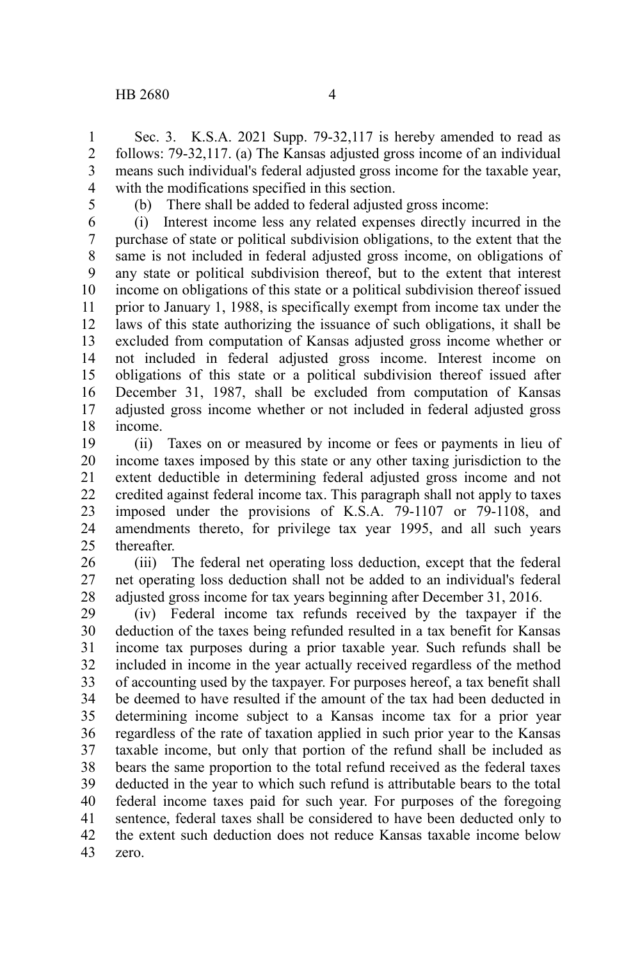Sec. 3. K.S.A. 2021 Supp. 79-32,117 is hereby amended to read as follows: 79-32,117. (a) The Kansas adjusted gross income of an individual means such individual's federal adjusted gross income for the taxable year, with the modifications specified in this section. 1 2 3 4

5

(b) There shall be added to federal adjusted gross income:

(i) Interest income less any related expenses directly incurred in the purchase of state or political subdivision obligations, to the extent that the same is not included in federal adjusted gross income, on obligations of any state or political subdivision thereof, but to the extent that interest income on obligations of this state or a political subdivision thereof issued prior to January 1, 1988, is specifically exempt from income tax under the laws of this state authorizing the issuance of such obligations, it shall be excluded from computation of Kansas adjusted gross income whether or not included in federal adjusted gross income. Interest income on obligations of this state or a political subdivision thereof issued after December 31, 1987, shall be excluded from computation of Kansas adjusted gross income whether or not included in federal adjusted gross income. 6 7 8 9 10 11 12 13 14 15 16 17 18

(ii) Taxes on or measured by income or fees or payments in lieu of income taxes imposed by this state or any other taxing jurisdiction to the extent deductible in determining federal adjusted gross income and not credited against federal income tax. This paragraph shall not apply to taxes imposed under the provisions of K.S.A. 79-1107 or 79-1108, and amendments thereto, for privilege tax year 1995, and all such years thereafter. 19 20 21 22 23 24 25

(iii) The federal net operating loss deduction, except that the federal net operating loss deduction shall not be added to an individual's federal adjusted gross income for tax years beginning after December 31, 2016. 26 27 28

(iv) Federal income tax refunds received by the taxpayer if the deduction of the taxes being refunded resulted in a tax benefit for Kansas income tax purposes during a prior taxable year. Such refunds shall be included in income in the year actually received regardless of the method of accounting used by the taxpayer. For purposes hereof, a tax benefit shall be deemed to have resulted if the amount of the tax had been deducted in determining income subject to a Kansas income tax for a prior year regardless of the rate of taxation applied in such prior year to the Kansas taxable income, but only that portion of the refund shall be included as bears the same proportion to the total refund received as the federal taxes deducted in the year to which such refund is attributable bears to the total federal income taxes paid for such year. For purposes of the foregoing sentence, federal taxes shall be considered to have been deducted only to the extent such deduction does not reduce Kansas taxable income below zero. 29 30 31 32 33 34 35 36 37 38 39 40 41 42 43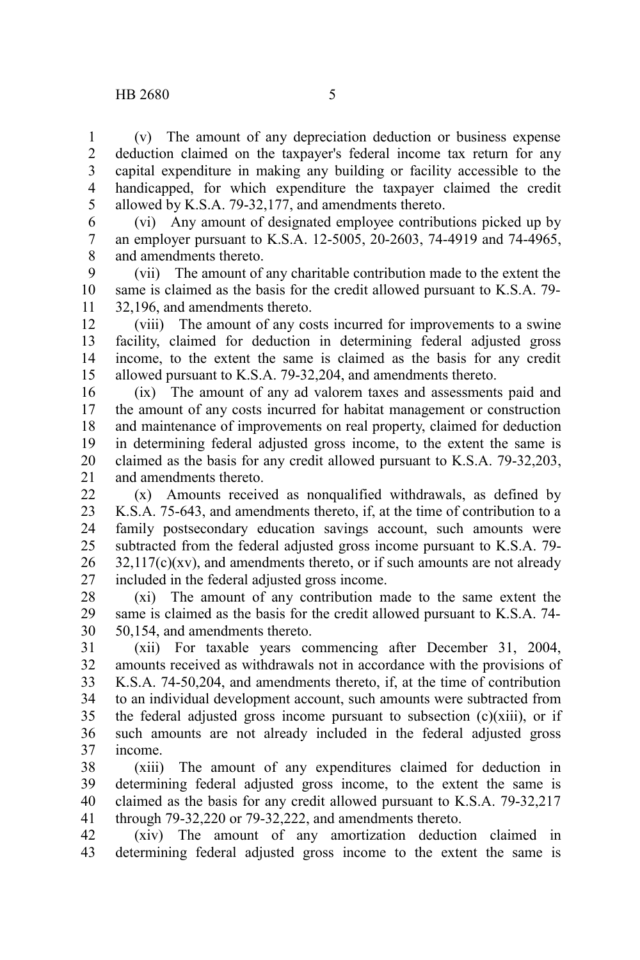(v) The amount of any depreciation deduction or business expense deduction claimed on the taxpayer's federal income tax return for any capital expenditure in making any building or facility accessible to the handicapped, for which expenditure the taxpayer claimed the credit allowed by K.S.A. 79-32,177, and amendments thereto. 1 2 3 4 5

(vi) Any amount of designated employee contributions picked up by an employer pursuant to K.S.A. 12-5005, 20-2603, 74-4919 and 74-4965, and amendments thereto. 6 7 8

(vii) The amount of any charitable contribution made to the extent the same is claimed as the basis for the credit allowed pursuant to K.S.A. 79- 32,196, and amendments thereto. 9 10 11

(viii) The amount of any costs incurred for improvements to a swine facility, claimed for deduction in determining federal adjusted gross income, to the extent the same is claimed as the basis for any credit allowed pursuant to K.S.A. 79-32,204, and amendments thereto. 12 13 14 15

(ix) The amount of any ad valorem taxes and assessments paid and the amount of any costs incurred for habitat management or construction and maintenance of improvements on real property, claimed for deduction in determining federal adjusted gross income, to the extent the same is claimed as the basis for any credit allowed pursuant to K.S.A. 79-32,203, and amendments thereto. 16 17 18 19 20 21

(x) Amounts received as nonqualified withdrawals, as defined by K.S.A. 75-643, and amendments thereto, if, at the time of contribution to a family postsecondary education savings account, such amounts were subtracted from the federal adjusted gross income pursuant to K.S.A. 79-  $32,117(c)(xv)$ , and amendments thereto, or if such amounts are not already included in the federal adjusted gross income. 22 23 24 25 26 27

(xi) The amount of any contribution made to the same extent the same is claimed as the basis for the credit allowed pursuant to K.S.A. 74- 50,154, and amendments thereto. 28 29 30

(xii) For taxable years commencing after December 31, 2004, amounts received as withdrawals not in accordance with the provisions of K.S.A. 74-50,204, and amendments thereto, if, at the time of contribution to an individual development account, such amounts were subtracted from the federal adjusted gross income pursuant to subsection  $(c)(xiii)$ , or if such amounts are not already included in the federal adjusted gross income. 31 32 33 34 35 36 37

(xiii) The amount of any expenditures claimed for deduction in determining federal adjusted gross income, to the extent the same is claimed as the basis for any credit allowed pursuant to K.S.A. 79-32,217 through 79-32,220 or 79-32,222, and amendments thereto. 38 39 40 41

(xiv) The amount of any amortization deduction claimed in determining federal adjusted gross income to the extent the same is 42 43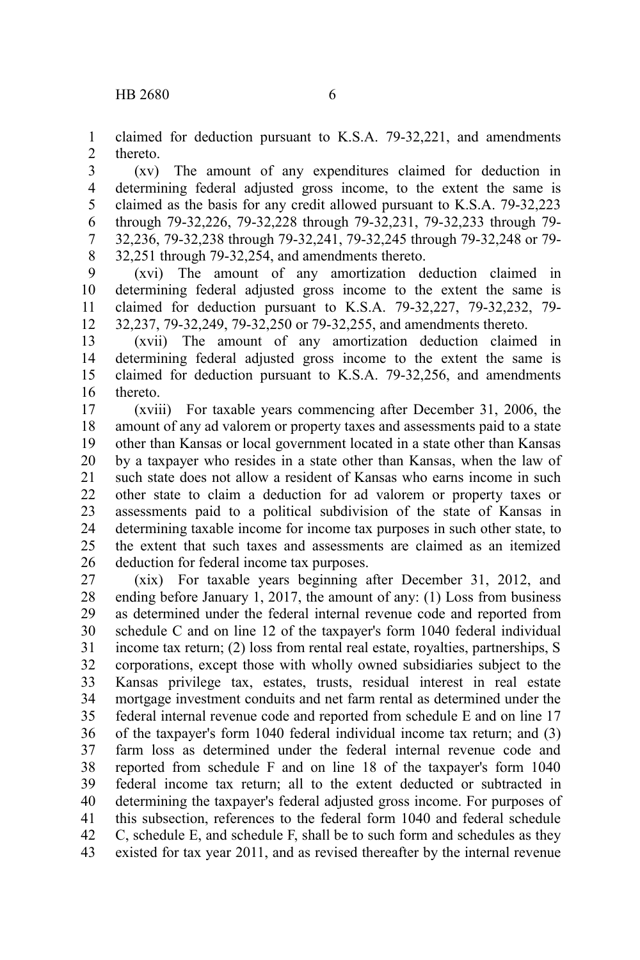claimed for deduction pursuant to K.S.A. 79-32,221, and amendments thereto. 1 2

(xv) The amount of any expenditures claimed for deduction in determining federal adjusted gross income, to the extent the same is claimed as the basis for any credit allowed pursuant to K.S.A. 79-32,223 through 79-32,226, 79-32,228 through 79-32,231, 79-32,233 through 79- 32,236, 79-32,238 through 79-32,241, 79-32,245 through 79-32,248 or 79- 32,251 through 79-32,254, and amendments thereto. 3 4 5 6 7 8

(xvi) The amount of any amortization deduction claimed in determining federal adjusted gross income to the extent the same is claimed for deduction pursuant to K.S.A. 79-32,227, 79-32,232, 79- 32,237, 79-32,249, 79-32,250 or 79-32,255, and amendments thereto. 9 10 11 12

(xvii) The amount of any amortization deduction claimed in determining federal adjusted gross income to the extent the same is claimed for deduction pursuant to K.S.A. 79-32,256, and amendments thereto. 13 14 15 16

(xviii) For taxable years commencing after December 31, 2006, the amount of any ad valorem or property taxes and assessments paid to a state other than Kansas or local government located in a state other than Kansas by a taxpayer who resides in a state other than Kansas, when the law of such state does not allow a resident of Kansas who earns income in such other state to claim a deduction for ad valorem or property taxes or assessments paid to a political subdivision of the state of Kansas in determining taxable income for income tax purposes in such other state, to the extent that such taxes and assessments are claimed as an itemized deduction for federal income tax purposes. 17 18 19 20 21 22 23 24 25 26

(xix) For taxable years beginning after December 31, 2012, and ending before January 1, 2017, the amount of any: (1) Loss from business as determined under the federal internal revenue code and reported from schedule C and on line 12 of the taxpayer's form 1040 federal individual income tax return; (2) loss from rental real estate, royalties, partnerships, S corporations, except those with wholly owned subsidiaries subject to the Kansas privilege tax, estates, trusts, residual interest in real estate mortgage investment conduits and net farm rental as determined under the federal internal revenue code and reported from schedule E and on line 17 of the taxpayer's form 1040 federal individual income tax return; and (3) farm loss as determined under the federal internal revenue code and reported from schedule F and on line 18 of the taxpayer's form 1040 federal income tax return; all to the extent deducted or subtracted in determining the taxpayer's federal adjusted gross income. For purposes of this subsection, references to the federal form 1040 and federal schedule C, schedule E, and schedule F, shall be to such form and schedules as they existed for tax year 2011, and as revised thereafter by the internal revenue 27 28 29 30 31 32 33 34 35 36 37 38 39 40 41 42 43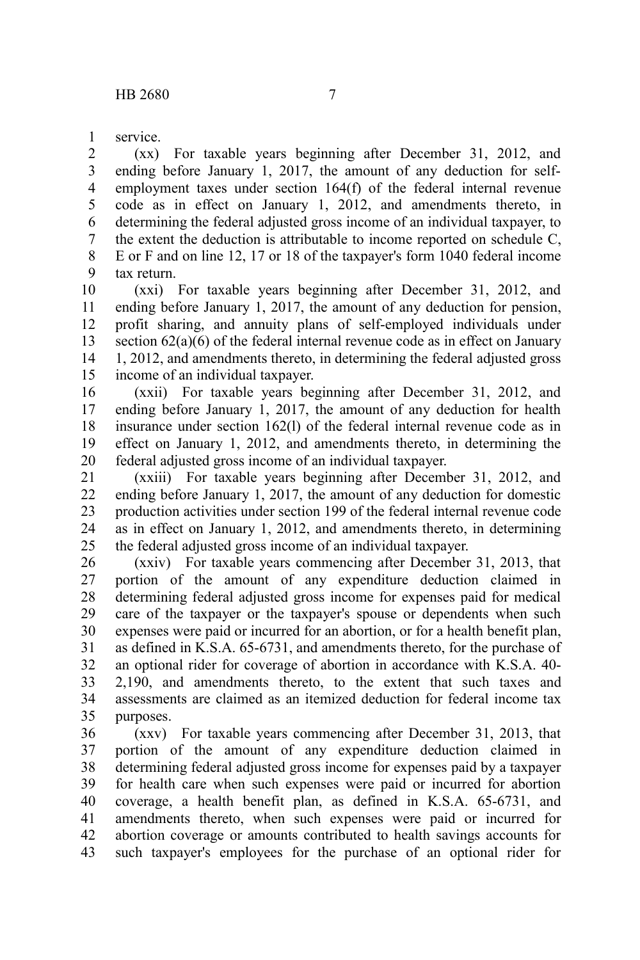service. 1

(xx) For taxable years beginning after December 31, 2012, and ending before January 1, 2017, the amount of any deduction for selfemployment taxes under section 164(f) of the federal internal revenue code as in effect on January 1, 2012, and amendments thereto, in determining the federal adjusted gross income of an individual taxpayer, to the extent the deduction is attributable to income reported on schedule C, E or F and on line 12, 17 or 18 of the taxpayer's form 1040 federal income tax return. 2 3 4 5 6 7 8 9

(xxi) For taxable years beginning after December 31, 2012, and ending before January 1, 2017, the amount of any deduction for pension, profit sharing, and annuity plans of self-employed individuals under section 62(a)(6) of the federal internal revenue code as in effect on January 1, 2012, and amendments thereto, in determining the federal adjusted gross income of an individual taxpayer. 10 11 12 13 14 15

(xxii) For taxable years beginning after December 31, 2012, and ending before January 1, 2017, the amount of any deduction for health insurance under section 162(l) of the federal internal revenue code as in effect on January 1, 2012, and amendments thereto, in determining the federal adjusted gross income of an individual taxpayer. 16 17 18 19 20

(xxiii) For taxable years beginning after December 31, 2012, and ending before January 1, 2017, the amount of any deduction for domestic production activities under section 199 of the federal internal revenue code as in effect on January 1, 2012, and amendments thereto, in determining the federal adjusted gross income of an individual taxpayer. 21 22 23 24 25

(xxiv) For taxable years commencing after December 31, 2013, that portion of the amount of any expenditure deduction claimed in determining federal adjusted gross income for expenses paid for medical care of the taxpayer or the taxpayer's spouse or dependents when such expenses were paid or incurred for an abortion, or for a health benefit plan, as defined in K.S.A. 65-6731, and amendments thereto, for the purchase of an optional rider for coverage of abortion in accordance with K.S.A. 40- 2,190, and amendments thereto, to the extent that such taxes and assessments are claimed as an itemized deduction for federal income tax purposes. 26 27 28 29 30 31 32 33 34 35

(xxv) For taxable years commencing after December 31, 2013, that portion of the amount of any expenditure deduction claimed in determining federal adjusted gross income for expenses paid by a taxpayer for health care when such expenses were paid or incurred for abortion coverage, a health benefit plan, as defined in K.S.A. 65-6731, and amendments thereto, when such expenses were paid or incurred for abortion coverage or amounts contributed to health savings accounts for such taxpayer's employees for the purchase of an optional rider for 36 37 38 39 40 41 42 43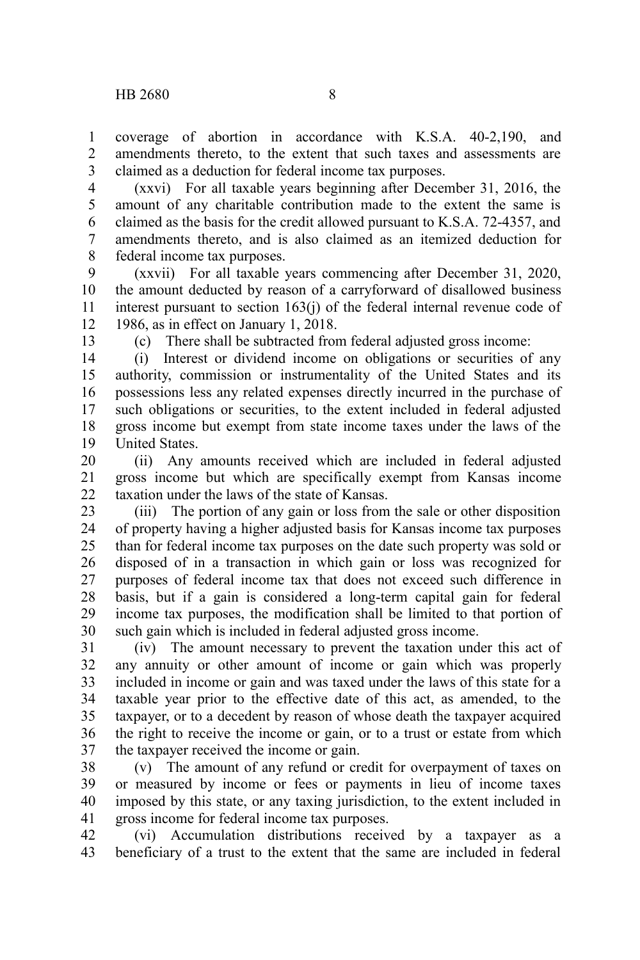coverage of abortion in accordance with K.S.A. 40-2,190, and amendments thereto, to the extent that such taxes and assessments are claimed as a deduction for federal income tax purposes. 1  $\mathcal{L}$ 3

(xxvi) For all taxable years beginning after December 31, 2016, the amount of any charitable contribution made to the extent the same is claimed as the basis for the credit allowed pursuant to K.S.A. 72-4357, and amendments thereto, and is also claimed as an itemized deduction for federal income tax purposes. 4 5 6 7 8

(xxvii) For all taxable years commencing after December 31, 2020, the amount deducted by reason of a carryforward of disallowed business interest pursuant to section 163(j) of the federal internal revenue code of 1986, as in effect on January 1, 2018. 9 10 11 12

13

(c) There shall be subtracted from federal adjusted gross income:

(i) Interest or dividend income on obligations or securities of any authority, commission or instrumentality of the United States and its possessions less any related expenses directly incurred in the purchase of such obligations or securities, to the extent included in federal adjusted gross income but exempt from state income taxes under the laws of the United States. 14 15 16 17 18 19

(ii) Any amounts received which are included in federal adjusted gross income but which are specifically exempt from Kansas income taxation under the laws of the state of Kansas. 20 21 22

(iii) The portion of any gain or loss from the sale or other disposition of property having a higher adjusted basis for Kansas income tax purposes than for federal income tax purposes on the date such property was sold or disposed of in a transaction in which gain or loss was recognized for purposes of federal income tax that does not exceed such difference in basis, but if a gain is considered a long-term capital gain for federal income tax purposes, the modification shall be limited to that portion of such gain which is included in federal adjusted gross income. 23 24 25 26 27 28 29 30

(iv) The amount necessary to prevent the taxation under this act of any annuity or other amount of income or gain which was properly included in income or gain and was taxed under the laws of this state for a taxable year prior to the effective date of this act, as amended, to the taxpayer, or to a decedent by reason of whose death the taxpayer acquired the right to receive the income or gain, or to a trust or estate from which the taxpayer received the income or gain. 31 32 33 34 35 36 37

(v) The amount of any refund or credit for overpayment of taxes on or measured by income or fees or payments in lieu of income taxes imposed by this state, or any taxing jurisdiction, to the extent included in gross income for federal income tax purposes. 38 39 40 41

(vi) Accumulation distributions received by a taxpayer as a beneficiary of a trust to the extent that the same are included in federal 42 43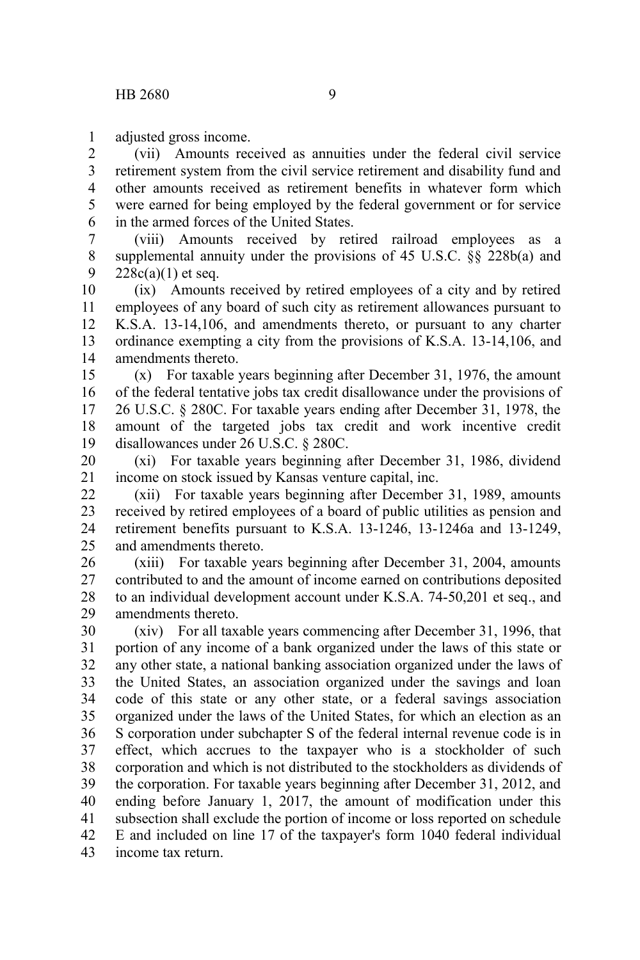adjusted gross income. 1

(vii) Amounts received as annuities under the federal civil service retirement system from the civil service retirement and disability fund and other amounts received as retirement benefits in whatever form which were earned for being employed by the federal government or for service in the armed forces of the United States. 2 3 4 5 6

(viii) Amounts received by retired railroad employees as a supplemental annuity under the provisions of 45 U.S.C. §§ 228b(a) and  $228c(a)(1)$  et seq. 7 8 9

(ix) Amounts received by retired employees of a city and by retired employees of any board of such city as retirement allowances pursuant to K.S.A. 13-14,106, and amendments thereto, or pursuant to any charter ordinance exempting a city from the provisions of K.S.A. 13-14,106, and amendments thereto. 10 11 12 13 14

(x) For taxable years beginning after December 31, 1976, the amount of the federal tentative jobs tax credit disallowance under the provisions of 26 U.S.C. § 280C. For taxable years ending after December 31, 1978, the amount of the targeted jobs tax credit and work incentive credit disallowances under 26 U.S.C. § 280C. 15 16 17 18 19

(xi) For taxable years beginning after December 31, 1986, dividend income on stock issued by Kansas venture capital, inc. 20 21

(xii) For taxable years beginning after December 31, 1989, amounts received by retired employees of a board of public utilities as pension and retirement benefits pursuant to K.S.A. 13-1246, 13-1246a and 13-1249, and amendments thereto. 22 23 24 25

(xiii) For taxable years beginning after December 31, 2004, amounts contributed to and the amount of income earned on contributions deposited to an individual development account under K.S.A. 74-50,201 et seq., and amendments thereto. 26 27 28 29

(xiv) For all taxable years commencing after December 31, 1996, that portion of any income of a bank organized under the laws of this state or any other state, a national banking association organized under the laws of the United States, an association organized under the savings and loan code of this state or any other state, or a federal savings association organized under the laws of the United States, for which an election as an S corporation under subchapter S of the federal internal revenue code is in effect, which accrues to the taxpayer who is a stockholder of such corporation and which is not distributed to the stockholders as dividends of the corporation. For taxable years beginning after December 31, 2012, and ending before January 1, 2017, the amount of modification under this subsection shall exclude the portion of income or loss reported on schedule E and included on line 17 of the taxpayer's form 1040 federal individual income tax return. 30 31 32 33 34 35 36 37 38 39 40 41 42 43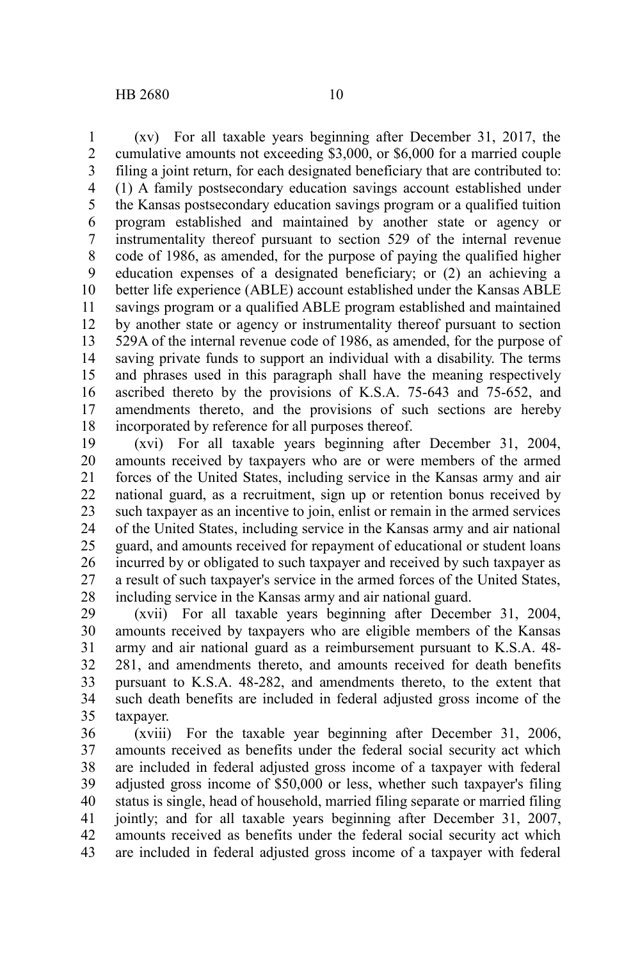(xv) For all taxable years beginning after December 31, 2017, the cumulative amounts not exceeding \$3,000, or \$6,000 for a married couple filing a joint return, for each designated beneficiary that are contributed to: (1) A family postsecondary education savings account established under the Kansas postsecondary education savings program or a qualified tuition program established and maintained by another state or agency or instrumentality thereof pursuant to section 529 of the internal revenue code of 1986, as amended, for the purpose of paying the qualified higher education expenses of a designated beneficiary; or (2) an achieving a better life experience (ABLE) account established under the Kansas ABLE savings program or a qualified ABLE program established and maintained by another state or agency or instrumentality thereof pursuant to section 529A of the internal revenue code of 1986, as amended, for the purpose of saving private funds to support an individual with a disability. The terms and phrases used in this paragraph shall have the meaning respectively ascribed thereto by the provisions of K.S.A. 75-643 and 75-652, and amendments thereto, and the provisions of such sections are hereby incorporated by reference for all purposes thereof. 1 2 3 4 5 6 7 8 9 10 11 12 13 14 15 16 17 18

(xvi) For all taxable years beginning after December 31, 2004, amounts received by taxpayers who are or were members of the armed forces of the United States, including service in the Kansas army and air national guard, as a recruitment, sign up or retention bonus received by such taxpayer as an incentive to join, enlist or remain in the armed services of the United States, including service in the Kansas army and air national guard, and amounts received for repayment of educational or student loans incurred by or obligated to such taxpayer and received by such taxpayer as a result of such taxpayer's service in the armed forces of the United States, including service in the Kansas army and air national guard. 19 20 21 22 23 24 25 26 27 28

(xvii) For all taxable years beginning after December 31, 2004, amounts received by taxpayers who are eligible members of the Kansas army and air national guard as a reimbursement pursuant to K.S.A. 48- 281, and amendments thereto, and amounts received for death benefits pursuant to K.S.A. 48-282, and amendments thereto, to the extent that such death benefits are included in federal adjusted gross income of the taxpayer. 29 30 31 32 33 34 35

(xviii) For the taxable year beginning after December 31, 2006, amounts received as benefits under the federal social security act which are included in federal adjusted gross income of a taxpayer with federal adjusted gross income of \$50,000 or less, whether such taxpayer's filing status is single, head of household, married filing separate or married filing jointly; and for all taxable years beginning after December 31, 2007, amounts received as benefits under the federal social security act which are included in federal adjusted gross income of a taxpayer with federal 36 37 38 39 40 41 42 43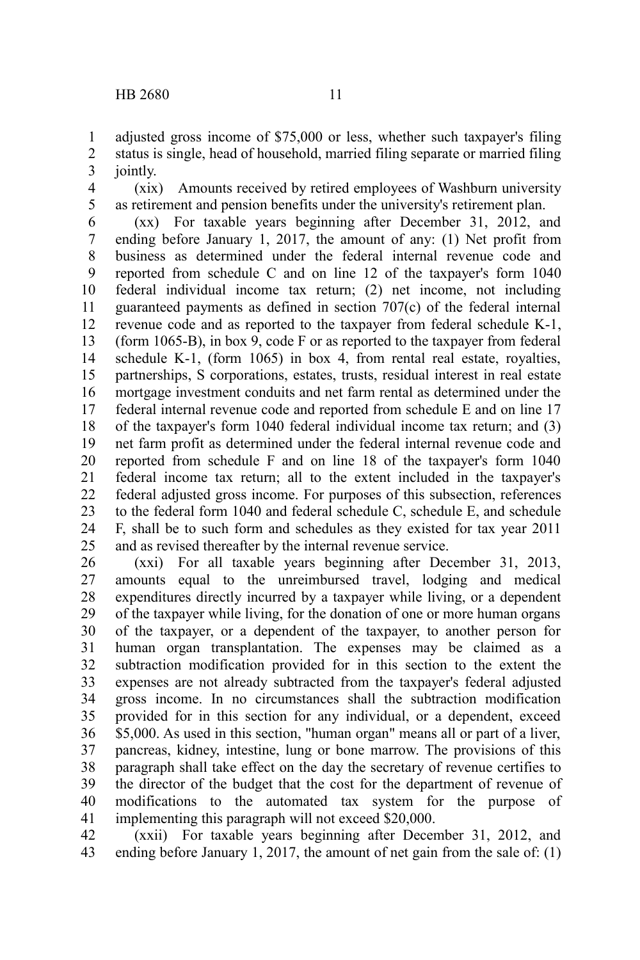adjusted gross income of \$75,000 or less, whether such taxpayer's filing status is single, head of household, married filing separate or married filing jointly. 1 2 3

(xix) Amounts received by retired employees of Washburn university as retirement and pension benefits under the university's retirement plan. 4 5

(xx) For taxable years beginning after December 31, 2012, and ending before January 1, 2017, the amount of any: (1) Net profit from business as determined under the federal internal revenue code and reported from schedule C and on line 12 of the taxpayer's form 1040 federal individual income tax return; (2) net income, not including guaranteed payments as defined in section 707(c) of the federal internal revenue code and as reported to the taxpayer from federal schedule K-1, (form 1065-B), in box 9, code F or as reported to the taxpayer from federal schedule K-1, (form 1065) in box 4, from rental real estate, royalties, partnerships, S corporations, estates, trusts, residual interest in real estate mortgage investment conduits and net farm rental as determined under the federal internal revenue code and reported from schedule E and on line 17 of the taxpayer's form 1040 federal individual income tax return; and (3) net farm profit as determined under the federal internal revenue code and reported from schedule F and on line 18 of the taxpayer's form 1040 federal income tax return; all to the extent included in the taxpayer's federal adjusted gross income. For purposes of this subsection, references to the federal form 1040 and federal schedule C, schedule E, and schedule F, shall be to such form and schedules as they existed for tax year 2011 and as revised thereafter by the internal revenue service. 6 7 8 9 10 11 12 13 14 15 16 17 18 19 20 21 22 23 24 25

(xxi) For all taxable years beginning after December 31, 2013, amounts equal to the unreimbursed travel, lodging and medical expenditures directly incurred by a taxpayer while living, or a dependent of the taxpayer while living, for the donation of one or more human organs of the taxpayer, or a dependent of the taxpayer, to another person for human organ transplantation. The expenses may be claimed as a subtraction modification provided for in this section to the extent the expenses are not already subtracted from the taxpayer's federal adjusted gross income. In no circumstances shall the subtraction modification provided for in this section for any individual, or a dependent, exceed \$5,000. As used in this section, "human organ" means all or part of a liver, pancreas, kidney, intestine, lung or bone marrow. The provisions of this paragraph shall take effect on the day the secretary of revenue certifies to the director of the budget that the cost for the department of revenue of modifications to the automated tax system for the purpose of implementing this paragraph will not exceed \$20,000. 26 27 28 29 30 31 32 33 34 35 36 37 38 39 40 41

(xxii) For taxable years beginning after December 31, 2012, and ending before January 1, 2017, the amount of net gain from the sale of: (1) 42 43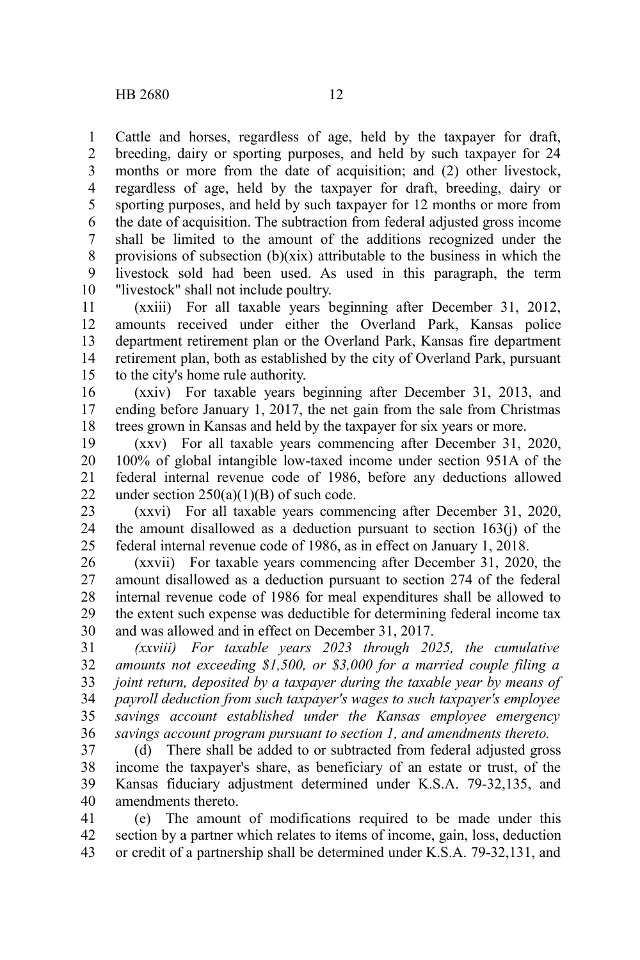Cattle and horses, regardless of age, held by the taxpayer for draft, breeding, dairy or sporting purposes, and held by such taxpayer for 24 months or more from the date of acquisition; and (2) other livestock, regardless of age, held by the taxpayer for draft, breeding, dairy or sporting purposes, and held by such taxpayer for 12 months or more from the date of acquisition. The subtraction from federal adjusted gross income shall be limited to the amount of the additions recognized under the provisions of subsection  $(b)(\overline{x}i\overline{x})$  attributable to the business in which the livestock sold had been used. As used in this paragraph, the term "livestock" shall not include poultry. 1 2 3 4 5 6 7 8 9 10

(xxiii) For all taxable years beginning after December 31, 2012, amounts received under either the Overland Park, Kansas police department retirement plan or the Overland Park, Kansas fire department retirement plan, both as established by the city of Overland Park, pursuant to the city's home rule authority. 11 12 13 14 15

(xxiv) For taxable years beginning after December 31, 2013, and ending before January 1, 2017, the net gain from the sale from Christmas trees grown in Kansas and held by the taxpayer for six years or more. 16 17 18

(xxv) For all taxable years commencing after December 31, 2020, 100% of global intangible low-taxed income under section 951A of the federal internal revenue code of 1986, before any deductions allowed under section 250(a)(1)(B) of such code. 19 20 21 22

(xxvi) For all taxable years commencing after December 31, 2020, the amount disallowed as a deduction pursuant to section 163(j) of the federal internal revenue code of 1986, as in effect on January 1, 2018. 23 24 25

(xxvii) For taxable years commencing after December 31, 2020, the amount disallowed as a deduction pursuant to section 274 of the federal internal revenue code of 1986 for meal expenditures shall be allowed to the extent such expense was deductible for determining federal income tax and was allowed and in effect on December 31, 2017. 26 27 28 29 30

*(xxviii) For taxable years 2023 through 2025, the cumulative amounts not exceeding \$1,500, or \$3,000 for a married couple filing a joint return, deposited by a taxpayer during the taxable year by means of payroll deduction from such taxpayer's wages to such taxpayer's employee savings account established under the Kansas employee emergency savings account program pursuant to section 1, and amendments thereto.* 31 32 33 34 35 36

(d) There shall be added to or subtracted from federal adjusted gross income the taxpayer's share, as beneficiary of an estate or trust, of the Kansas fiduciary adjustment determined under K.S.A. 79-32,135, and amendments thereto. 37 38 39 40

(e) The amount of modifications required to be made under this section by a partner which relates to items of income, gain, loss, deduction or credit of a partnership shall be determined under K.S.A. 79-32,131, and 41 42 43